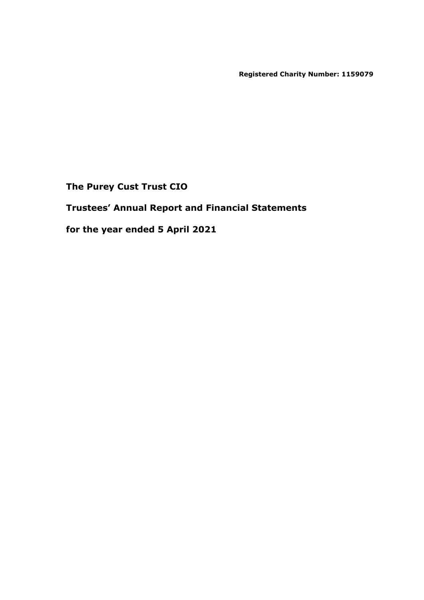**Registered Charity Number: 1159079**

**The Purey Cust Trust CIO**

**Trustees' Annual Report and Financial Statements**

**for the year ended 5 April 2021**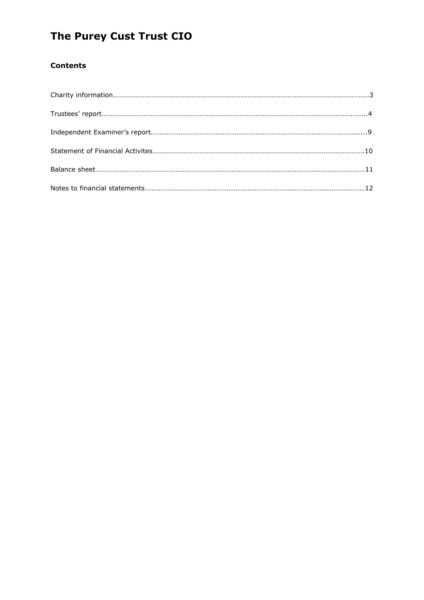### **Contents**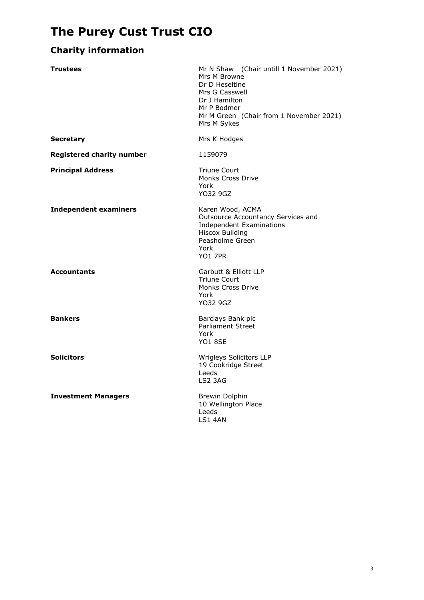### **Charity information**

| <b>Trustees</b>                  | Mr N Shaw (Chair untill 1 November 2021)<br>Mrs M Browne<br>Dr D Heseltine<br>Mrs G Casswell<br>Dr J Hamilton<br>Mr P Bodmer<br>Mr M Green (Chair from 1 November 2021)<br>Mrs M Sykes |
|----------------------------------|----------------------------------------------------------------------------------------------------------------------------------------------------------------------------------------|
| <b>Secretary</b>                 | Mrs K Hodges                                                                                                                                                                           |
| <b>Registered charity number</b> | 1159079                                                                                                                                                                                |
| <b>Principal Address</b>         | <b>Triune Court</b><br><b>Monks Cross Drive</b><br>York<br>YO32 9GZ                                                                                                                    |
| <b>Independent examiners</b>     | Karen Wood, ACMA<br>Outsource Accountancy Services and<br><b>Independent Examinations</b><br><b>Hiscox Building</b><br>Peasholme Green<br>York<br><b>YO1 7PR</b>                       |
| <b>Accountants</b>               | Garbutt & Elliott LLP<br><b>Triune Court</b><br><b>Monks Cross Drive</b><br>York<br>YO32 9GZ                                                                                           |
| <b>Bankers</b>                   | Barclays Bank plc<br><b>Parliament Street</b><br>York<br><b>YO1 8SE</b>                                                                                                                |
| <b>Solicitors</b>                | Wrigleys Solicitors LLP<br>19 Cookridge Street<br>Leeds<br>LS2 3AG                                                                                                                     |
| <b>Investment Managers</b>       | <b>Brewin Dolphin</b><br>10 Wellington Place<br>Leeds<br>LS1 4AN                                                                                                                       |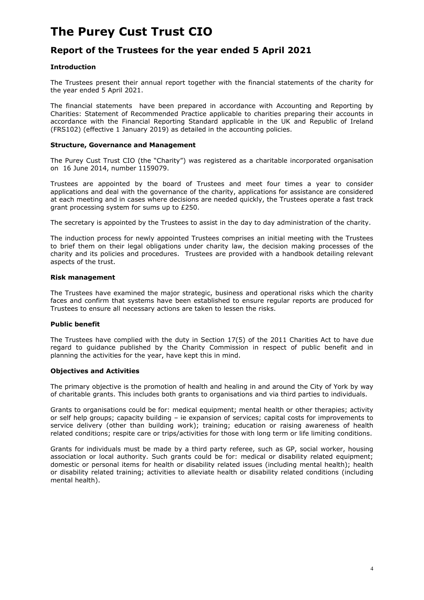### **Report of the Trustees for the year ended 5 April 2021**

#### **Introduction**

The Trustees present their annual report together with the financial statements of the charity for the year ended 5 April 2021.

The financial statements have been prepared in accordance with Accounting and Reporting by Charities: Statement of Recommended Practice applicable to charities preparing their accounts in accordance with the Financial Reporting Standard applicable in the UK and Republic of Ireland (FRS102) (effective 1 January 2019) as detailed in the accounting policies.

#### **Structure, Governance and Management**

The Purey Cust Trust CIO (the "Charity") was registered as a charitable incorporated organisation on 16 June 2014, number 1159079.

Trustees are appointed by the board of Trustees and meet four times a year to consider applications and deal with the governance of the charity, applications for assistance are considered at each meeting and in cases where decisions are needed quickly, the Trustees operate a fast track grant processing system for sums up to £250.

The secretary is appointed by the Trustees to assist in the day to day administration of the charity.

The induction process for newly appointed Trustees comprises an initial meeting with the Trustees to brief them on their legal obligations under charity law, the decision making processes of the charity and its policies and procedures. Trustees are provided with a handbook detailing relevant aspects of the trust.

#### **Risk management**

The Trustees have examined the major strategic, business and operational risks which the charity faces and confirm that systems have been established to ensure regular reports are produced for Trustees to ensure all necessary actions are taken to lessen the risks.

#### **Public benefit**

The Trustees have complied with the duty in Section 17(5) of the 2011 Charities Act to have due regard to guidance published by the Charity Commission in respect of public benefit and in planning the activities for the year, have kept this in mind.

#### **Objectives and Activities**

The primary objective is the promotion of health and healing in and around the City of York by way of charitable grants. This includes both grants to organisations and via third parties to individuals.

Grants to organisations could be for: medical equipment; mental health or other therapies; activity or self help groups; capacity building – ie expansion of services; capital costs for improvements to service delivery (other than building work); training; education or raising awareness of health related conditions; respite care or trips/activities for those with long term or life limiting conditions.

Grants for individuals must be made by a third party referee, such as GP, social worker, housing association or local authority. Such grants could be for: medical or disability related equipment; domestic or personal items for health or disability related issues (including mental health); health or disability related training; activities to alleviate health or disability related conditions (including mental health).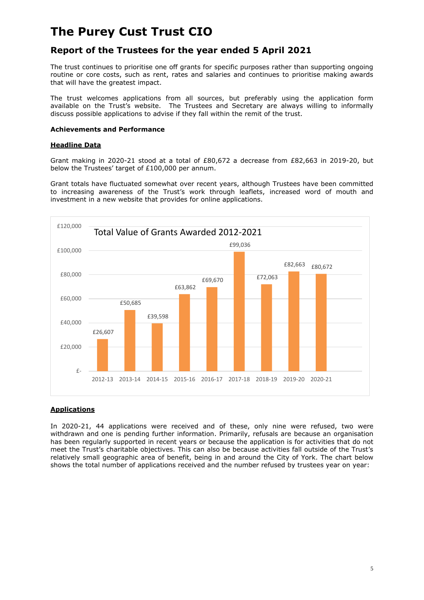### **Report of the Trustees for the year ended 5 April 2021**

The trust continues to prioritise one off grants for specific purposes rather than supporting ongoing routine or core costs, such as rent, rates and salaries and continues to prioritise making awards that will have the greatest impact.

The trust welcomes applications from all sources, but preferably using the application form available on the Trust's website. The Trustees and Secretary are always willing to informally discuss possible applications to advise if they fall within the remit of the trust.

#### **Achievements and Performance**

#### **Headline Data**

Grant making in 2020-21 stood at a total of £80,672 a decrease from £82,663 in 2019-20, but below the Trustees' target of £100,000 per annum.

Grant totals have fluctuated somewhat over recent years, although Trustees have been committed to increasing awareness of the Trust's work through leaflets, increased word of mouth and investment in a new website that provides for online applications.



#### **Applications**

In 2020-21, 44 applications were received and of these, only nine were refused, two were withdrawn and one is pending further information. Primarily, refusals are because an organisation has been regularly supported in recent years or because the application is for activities that do not meet the Trust's charitable objectives. This can also be because activities fall outside of the Trust's relatively small geographic area of benefit, being in and around the City of York. The chart below shows the total number of applications received and the number refused by trustees year on year: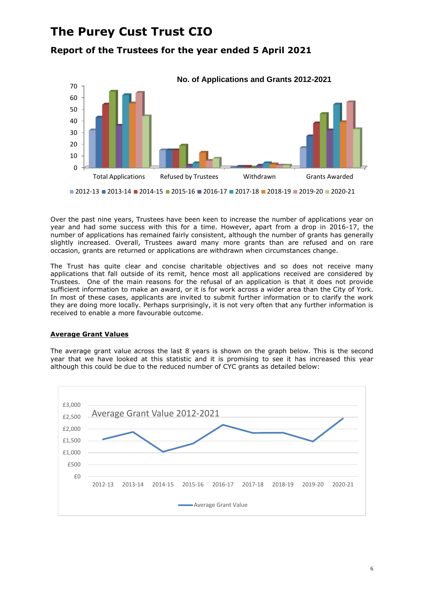**Report of the Trustees for the year ended 5 April 2021**



Over the past nine years, Trustees have been keen to increase the number of applications year on year and had some success with this for a time. However, apart from a drop in 2016-17, the number of applications has remained fairly consistent, although the number of grants has generally slightly increased. Overall, Trustees award many more grants than are refused and on rare occasion, grants are returned or applications are withdrawn when circumstances change.

The Trust has quite clear and concise charitable objectives and so does not receive many applications that fall outside of its remit, hence most all applications received are considered by Trustees. One of the main reasons for the refusal of an application is that it does not provide sufficient information to make an award, or it is for work across a wider area than the City of York. In most of these cases, applicants are invited to submit further information or to clarify the work they are doing more locally. Perhaps surprisingly, it is not very often that any further information is received to enable a more favourable outcome.

#### **Average Grant Values**

The average grant value across the last 8 years is shown on the graph below. This is the second year that we have looked at this statistic and it is promising to see it has increased this year although this could be due to the reduced number of CYC grants as detailed below:

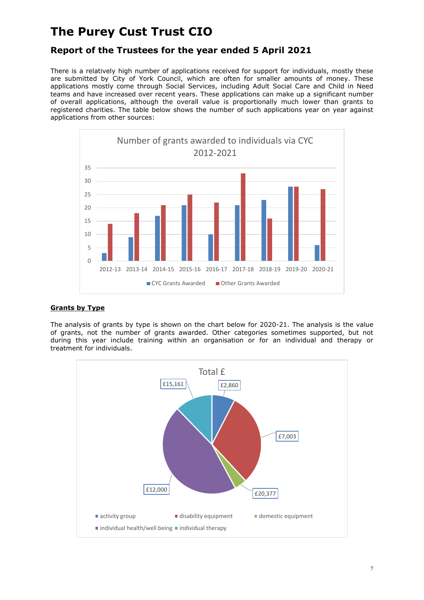### **Report of the Trustees for the year ended 5 April 2021**

There is a relatively high number of applications received for support for individuals, mostly these are submitted by City of York Council, which are often for smaller amounts of money. These applications mostly come through Social Services, including Adult Social Care and Child in Need teams and have increased over recent years. These applications can make up a significant number of overall applications, although the overall value is proportionally much lower than grants to registered charities. The table below shows the number of such applications year on year against applications from other sources:



#### **Grants by Type**

The analysis of grants by type is shown on the chart below for 2020-21. The analysis is the value of grants, not the number of grants awarded. Other categories sometimes supported, but not during this year include training within an organisation or for an individual and therapy or treatment for individuals.

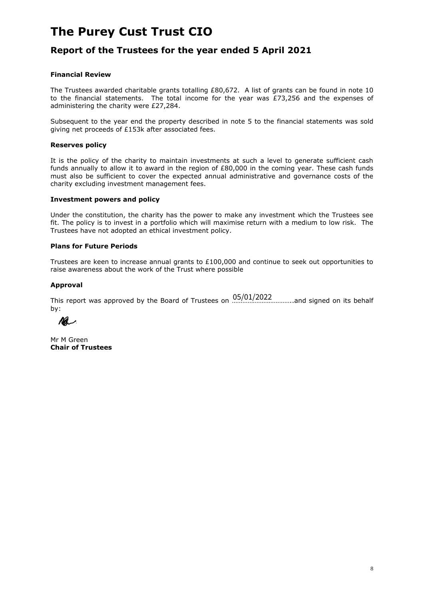### **Report of the Trustees for the year ended 5 April 2021**

#### **Financial Review**

The Trustees awarded charitable grants totalling £80,672. A list of grants can be found in note 10 to the financial statements. The total income for the year was  $E$ 73,256 and the expenses of administering the charity were £27,284.

Subsequent to the year end the property described in note 5 to the financial statements was sold giving net proceeds of £153k after associated fees.

#### **Reserves policy**

It is the policy of the charity to maintain investments at such a level to generate sufficient cash funds annually to allow it to award in the region of £80,000 in the coming year. These cash funds must also be sufficient to cover the expected annual administrative and governance costs of the charity excluding investment management fees.

#### **Investment powers and policy**

Under the constitution, the charity has the power to make any investment which the Trustees see fit. The policy is to invest in a portfolio which will maximise return with a medium to low risk. The Trustees have not adopted an ethical investment policy.

#### **Plans for Future Periods**

Trustees are keen to increase annual grants to £100,000 and continue to seek out opportunities to raise awareness about the work of the Trust where possible

#### **Approval**

This report was approved by the Board of Trustees on  $\frac{05/01/2022}{...}$  and signed on its behalf by:

Ma

Mr M Green **Chair of Trustees**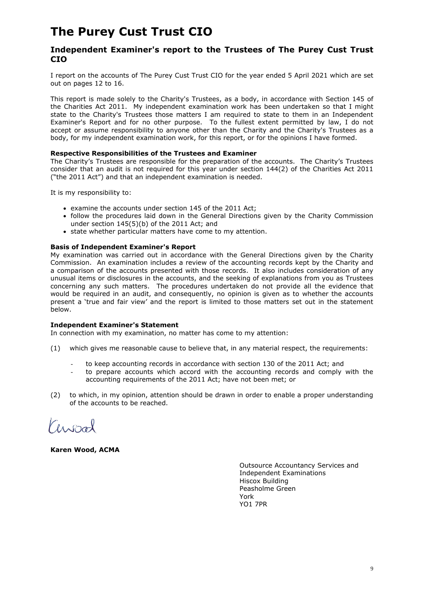#### **Independent Examiner's report to the Trustees of The Purey Cust Trust CIO**

I report on the accounts of The Purey Cust Trust CIO for the year ended 5 April 2021 which are set out on pages 12 to 16.

This report is made solely to the Charity's Trustees, as a body, in accordance with Section 145 of the Charities Act 2011. My independent examination work has been undertaken so that I might state to the Charity's Trustees those matters I am required to state to them in an Independent Examiner's Report and for no other purpose. To the fullest extent permitted by law, I do not accept or assume responsibility to anyone other than the Charity and the Charity's Trustees as a body, for my independent examination work, for this report, or for the opinions I have formed.

#### **Respective Responsibilities of the Trustees and Examiner**

The Charity's Trustees are responsible for the preparation of the accounts. The Charity's Trustees consider that an audit is not required for this year under section 144(2) of the Charities Act 2011 ("the 2011 Act") and that an independent examination is needed.

It is my responsibility to:

- examine the accounts under section 145 of the 2011 Act;
- follow the procedures laid down in the General Directions given by the Charity Commission under section 145(5)(b) of the 2011 Act; and
- state whether particular matters have come to my attention.

#### **Basis of Independent Examiner's Report**

My examination was carried out in accordance with the General Directions given by the Charity Commission. An examination includes a review of the accounting records kept by the Charity and a comparison of the accounts presented with those records. It also includes consideration of any unusual items or disclosures in the accounts, and the seeking of explanations from you as Trustees concerning any such matters. The procedures undertaken do not provide all the evidence that would be required in an audit, and consequently, no opinion is given as to whether the accounts present a 'true and fair view' and the report is limited to those matters set out in the statement below.

#### **Independent Examiner's Statement**

In connection with my examination, no matter has come to my attention:

- (1) which gives me reasonable cause to believe that, in any material respect, the requirements:
	- to keep accounting records in accordance with section 130 of the 2011 Act: and
	- to prepare accounts which accord with the accounting records and comply with the accounting requirements of the 2011 Act; have not been met; or
- (2) to which, in my opinion, attention should be drawn in order to enable a proper understanding of the accounts to be reached.

Censoal

**Karen Wood, ACMA**

Outsource Accountancy Services and Independent Examinations Hiscox Building Peasholme Green York YO1 7PR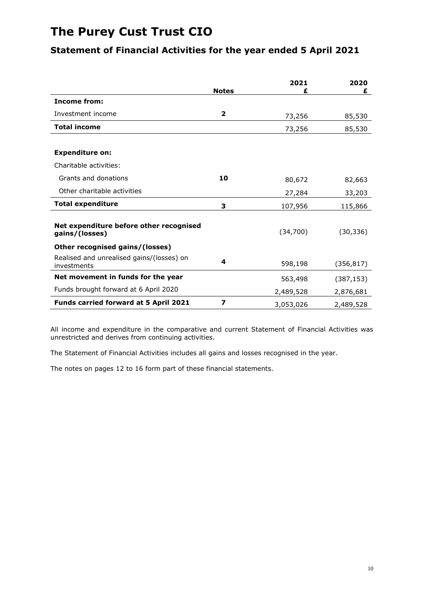### **Statement of Financial Activities for the year ended 5 April 2021**

|                                                           | <b>Notes</b>            | 2021<br>£ | 2020<br>£  |
|-----------------------------------------------------------|-------------------------|-----------|------------|
| <b>Income from:</b>                                       |                         |           |            |
| Investment income                                         | $\overline{\mathbf{2}}$ | 73,256    | 85,530     |
| <b>Total income</b>                                       |                         | 73,256    | 85,530     |
|                                                           |                         |           |            |
| <b>Expenditure on:</b>                                    |                         |           |            |
| Charitable activities:                                    |                         |           |            |
| Grants and donations                                      | 10                      | 80,672    | 82,663     |
| Other charitable activities                               |                         | 27,284    | 33,203     |
| <b>Total expenditure</b>                                  | 3                       | 107,956   | 115,866    |
| Net expenditure before other recognised<br>gains/(losses) |                         | (34,700)  | (30, 336)  |
| Other recognised gains/(losses)                           |                         |           |            |
| Realised and unrealised gains/(losses) on<br>investments  | 4                       | 598,198   | (356, 817) |
| Net movement in funds for the year                        |                         | 563,498   | (387, 153) |
| Funds brought forward at 6 April 2020                     |                         | 2,489,528 | 2,876,681  |
| Funds carried forward at 5 April 2021                     | 7                       | 3,053,026 | 2,489,528  |

All income and expenditure in the comparative and current Statement of Financial Activities was unrestricted and derives from continuing activities.

The Statement of Financial Activities includes all gains and losses recognised in the year.

The notes on pages 12 to 16 form part of these financial statements.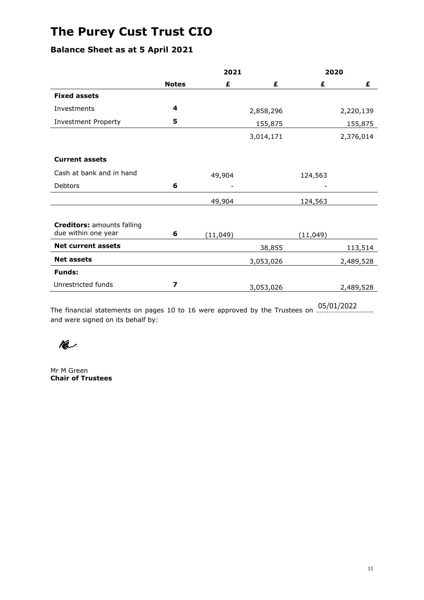### **Balance Sheet as at 5 April 2021**

|                                                          | 2021                    |           | 2020      |           |           |
|----------------------------------------------------------|-------------------------|-----------|-----------|-----------|-----------|
|                                                          | <b>Notes</b>            | £         | £         | £         | £         |
| <b>Fixed assets</b>                                      |                         |           |           |           |           |
| Investments                                              | 4                       |           | 2,858,296 |           | 2,220,139 |
| <b>Investment Property</b>                               | 5                       |           | 155,875   |           | 155,875   |
|                                                          |                         |           | 3,014,171 |           | 2,376,014 |
| <b>Current assets</b>                                    |                         |           |           |           |           |
| Cash at bank and in hand                                 |                         | 49,904    |           | 124,563   |           |
| <b>Debtors</b>                                           | 6                       |           |           |           |           |
|                                                          |                         | 49,904    |           | 124,563   |           |
|                                                          |                         |           |           |           |           |
| <b>Creditors: amounts falling</b><br>due within one year | 6                       | (11, 049) |           | (11, 049) |           |
| <b>Net current assets</b>                                |                         |           | 38,855    |           | 113,514   |
| <b>Net assets</b>                                        |                         |           | 3,053,026 |           | 2,489,528 |
| <b>Funds:</b>                                            |                         |           |           |           |           |
| Unrestricted funds                                       | $\overline{\mathbf{z}}$ |           | 3,053,026 |           | 2,489,528 |
|                                                          |                         |           |           |           |           |

The financial statements on pages 10 to 16 were approved by the Trustees on ………………………….. 05/01/2022and were signed on its behalf by:



Mr M Green **Chair of Trustees**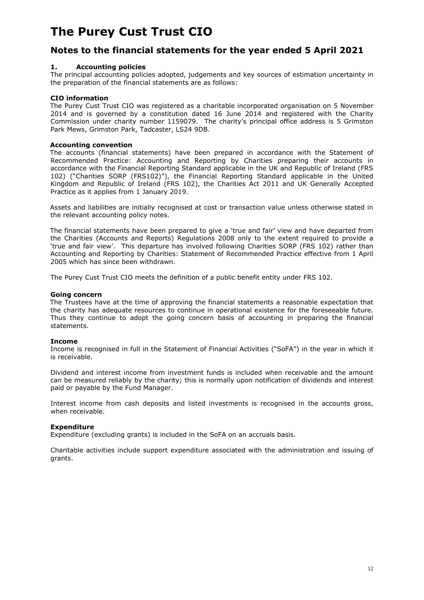### **Notes to the financial statements for the year ended 5 April 2021**

#### **1. Accounting policies**

The principal accounting policies adopted, judgements and key sources of estimation uncertainty in the preparation of the financial statements are as follows:

#### **CIO information**

The Purey Cust Trust CIO was registered as a charitable incorporated organisation on 5 November 2014 and is governed by a constitution dated 16 June 2014 and registered with the Charity Commission under charity number 1159079. The charity's principal office address is 5 Grimston Park Mews, Grimston Park, Tadcaster, LS24 9DB.

#### **Accounting convention**

The accounts (financial statements) have been prepared in accordance with the Statement of Recommended Practice: Accounting and Reporting by Charities preparing their accounts in accordance with the Financial Reporting Standard applicable in the UK and Republic of Ireland (FRS 102) ("Charities SORP (FRS102)"), the Financial Reporting Standard applicable in the United Kingdom and Republic of Ireland (FRS 102), the Charities Act 2011 and UK Generally Accepted Practice as it applies from 1 January 2019.

Assets and liabilities are initially recognised at cost or transaction value unless otherwise stated in the relevant accounting policy notes.

The financial statements have been prepared to give a 'true and fair' view and have departed from the Charities (Accounts and Reports) Regulations 2008 only to the extent required to provide a 'true and fair view'. This departure has involved following Charities SORP (FRS 102) rather than Accounting and Reporting by Charities: Statement of Recommended Practice effective from 1 April 2005 which has since been withdrawn.

The Purey Cust Trust CIO meets the definition of a public benefit entity under FRS 102.

#### **Going concern**

The Trustees have at the time of approving the financial statements a reasonable expectation that the charity has adequate resources to continue in operational existence for the foreseeable future. Thus they continue to adopt the going concern basis of accounting in preparing the financial statements.

#### **Income**

Income is recognised in full in the Statement of Financial Activities ("SoFA") in the year in which it is receivable.

Dividend and interest income from investment funds is included when receivable and the amount can be measured reliably by the charity; this is normally upon notification of dividends and interest paid or payable by the Fund Manager.

Interest income from cash deposits and listed investments is recognised in the accounts gross, when receivable.

#### **Expenditure**

Expenditure (excluding grants) is included in the SoFA on an accruals basis.

Charitable activities include support expenditure associated with the administration and issuing of grants.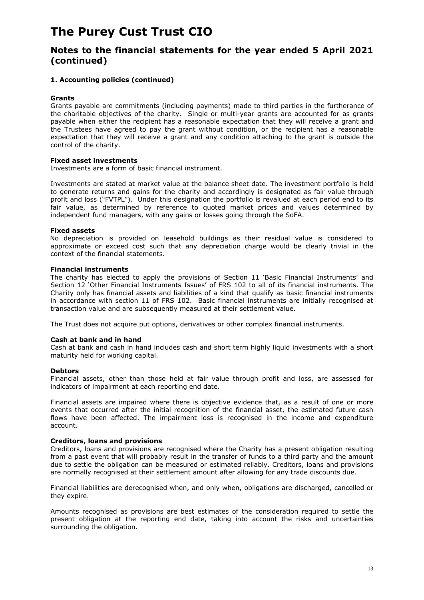### **Notes to the financial statements for the year ended 5 April 2021 (continued)**

#### **1. Accounting policies (continued)**

#### **Grants**

Grants payable are commitments (including payments) made to third parties in the furtherance of the charitable objectives of the charity. Single or multi-year grants are accounted for as grants payable when either the recipient has a reasonable expectation that they will receive a grant and the Trustees have agreed to pay the grant without condition, or the recipient has a reasonable expectation that they will receive a grant and any condition attaching to the grant is outside the control of the charity.

#### **Fixed asset investments**

Investments are a form of basic financial instrument.

Investments are stated at market value at the balance sheet date. The investment portfolio is held to generate returns and gains for the charity and accordingly is designated as fair value through profit and loss ("FVTPL"). Under this designation the portfolio is revalued at each period end to its fair value, as determined by reference to quoted market prices and values determined by independent fund managers, with any gains or losses going through the SoFA.

#### **Fixed assets**

No depreciation is provided on leasehold buildings as their residual value is considered to approximate or exceed cost such that any depreciation charge would be clearly trivial in the context of the financial statements.

#### **Financial instruments**

The charity has elected to apply the provisions of Section 11 'Basic Financial Instruments' and Section 12 'Other Financial Instruments Issues' of FRS 102 to all of its financial instruments. The Charity only has financial assets and liabilities of a kind that qualify as basic financial instruments in accordance with section 11 of FRS 102. Basic financial instruments are initially recognised at transaction value and are subsequently measured at their settlement value.

The Trust does not acquire put options, derivatives or other complex financial instruments.

#### **Cash at bank and in hand**

Cash at bank and cash in hand includes cash and short term highly liquid investments with a short maturity held for working capital.

#### **Debtors**

Financial assets, other than those held at fair value through profit and loss, are assessed for indicators of impairment at each reporting end date.

Financial assets are impaired where there is objective evidence that, as a result of one or more events that occurred after the initial recognition of the financial asset, the estimated future cash flows have been affected. The impairment loss is recognised in the income and expenditure account.

#### **Creditors, loans and provisions**

Creditors, loans and provisions are recognised where the Charity has a present obligation resulting from a past event that will probably result in the transfer of funds to a third party and the amount due to settle the obligation can be measured or estimated reliably. Creditors, loans and provisions are normally recognised at their settlement amount after allowing for any trade discounts due.

Financial liabilities are derecognised when, and only when, obligations are discharged, cancelled or they expire.

Amounts recognised as provisions are best estimates of the consideration required to settle the present obligation at the reporting end date, taking into account the risks and uncertainties surrounding the obligation.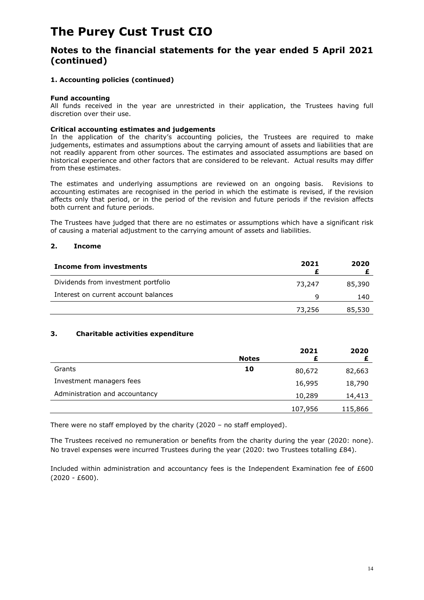### **Notes to the financial statements for the year ended 5 April 2021 (continued)**

#### **1. Accounting policies (continued)**

#### **Fund accounting**

All funds received in the year are unrestricted in their application, the Trustees having full discretion over their use.

#### **Critical accounting estimates and judgements**

In the application of the charity's accounting policies, the Trustees are required to make judgements, estimates and assumptions about the carrying amount of assets and liabilities that are not readily apparent from other sources. The estimates and associated assumptions are based on historical experience and other factors that are considered to be relevant. Actual results may differ from these estimates.

The estimates and underlying assumptions are reviewed on an ongoing basis. Revisions to accounting estimates are recognised in the period in which the estimate is revised, if the revision affects only that period, or in the period of the revision and future periods if the revision affects both current and future periods.

The Trustees have judged that there are no estimates or assumptions which have a significant risk of causing a material adjustment to the carrying amount of assets and liabilities.

#### **2. Income**

| Income from investments              | 2021   | 2020   |
|--------------------------------------|--------|--------|
| Dividends from investment portfolio  | 73,247 | 85,390 |
| Interest on current account balances | q      | 140    |
|                                      | 73,256 | 85,530 |

#### **3. Charitable activities expenditure**

|                                |              | 2021    | 2020    |
|--------------------------------|--------------|---------|---------|
|                                | <b>Notes</b> |         |         |
| Grants                         | 10           | 80,672  | 82,663  |
| Investment managers fees       |              | 16,995  | 18,790  |
| Administration and accountancy |              | 10,289  | 14,413  |
|                                |              | 107,956 | 115,866 |

There were no staff employed by the charity (2020 – no staff employed).

The Trustees received no remuneration or benefits from the charity during the year (2020: none). No travel expenses were incurred Trustees during the year (2020: two Trustees totalling £84).

Included within administration and accountancy fees is the Independent Examination fee of £600 (2020 - £600).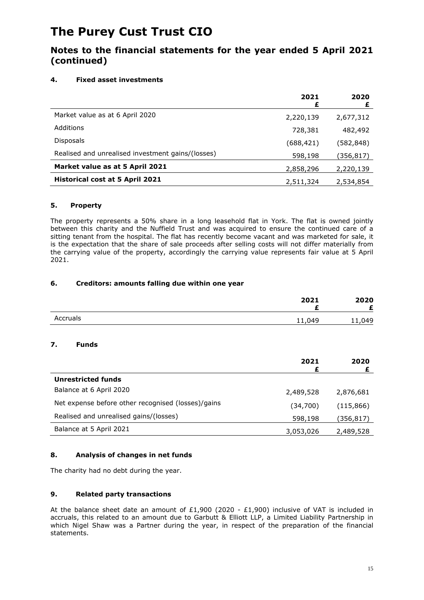### **Notes to the financial statements for the year ended 5 April 2021 (continued)**

#### **4. Fixed asset investments**

|                                                   | 2021<br>£ | 2020<br>£ |
|---------------------------------------------------|-----------|-----------|
| Market value as at 6 April 2020                   | 2,220,139 | 2,677,312 |
| Additions                                         | 728,381   | 482,492   |
| <b>Disposals</b>                                  | (688,421) | (582,848) |
| Realised and unrealised investment gains/(losses) | 598,198   | (356,817) |
| Market value as at 5 April 2021                   | 2,858,296 | 2,220,139 |
| <b>Historical cost at 5 April 2021</b>            | 2,511,324 | 2,534,854 |

#### **5. Property**

The property represents a 50% share in a long leasehold flat in York. The flat is owned jointly between this charity and the Nuffield Trust and was acquired to ensure the continued care of a sitting tenant from the hospital. The flat has recently become vacant and was marketed for sale, it is the expectation that the share of sale proceeds after selling costs will not differ materially from the carrying value of the property, accordingly the carrying value represents fair value at 5 April 2021.

#### **6. Creditors: amounts falling due within one year**

|          | 2021   | 2020   |
|----------|--------|--------|
| Accruals | 11,049 | 11,049 |

#### **7. Funds**

|                                                    | 2021<br>Ł | 2020       |
|----------------------------------------------------|-----------|------------|
| <b>Unrestricted funds</b>                          |           |            |
| Balance at 6 April 2020                            | 2,489,528 | 2,876,681  |
| Net expense before other recognised (losses)/gains | (34,700)  | (115, 866) |
| Realised and unrealised gains/(losses)             | 598,198   | (356,817)  |
| Balance at 5 April 2021                            | 3,053,026 | 2,489,528  |

#### **8. Analysis of changes in net funds**

The charity had no debt during the year.

#### **9. Related party transactions**

At the balance sheet date an amount of £1,900 (2020 - £1,900) inclusive of VAT is included in accruals, this related to an amount due to Garbutt & Elliott LLP, a Limited Liability Partnership in which Nigel Shaw was a Partner during the year, in respect of the preparation of the financial statements.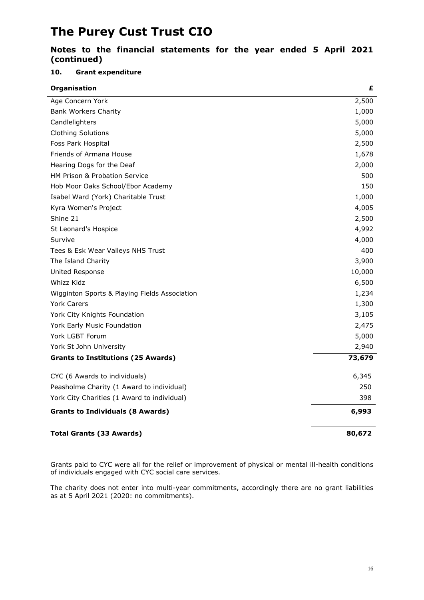### **Notes to the financial statements for the year ended 5 April 2021 (continued)**

#### **10. Grant expenditure**

| Organisation                                  | £      |
|-----------------------------------------------|--------|
| Age Concern York                              | 2,500  |
| <b>Bank Workers Charity</b>                   | 1,000  |
| Candlelighters                                | 5,000  |
| <b>Clothing Solutions</b>                     | 5,000  |
| Foss Park Hospital                            | 2,500  |
| Friends of Armana House                       | 1,678  |
| Hearing Dogs for the Deaf                     | 2,000  |
| HM Prison & Probation Service                 | 500    |
| Hob Moor Oaks School/Ebor Academy             | 150    |
| Isabel Ward (York) Charitable Trust           | 1,000  |
| Kyra Women's Project                          | 4,005  |
| Shine 21                                      | 2,500  |
| St Leonard's Hospice                          | 4,992  |
| Survive                                       | 4,000  |
| Tees & Esk Wear Valleys NHS Trust             | 400    |
| The Island Charity                            | 3,900  |
| United Response                               | 10,000 |
| Whizz Kidz                                    | 6,500  |
| Wigginton Sports & Playing Fields Association | 1,234  |
| <b>York Carers</b>                            | 1,300  |
| York City Knights Foundation                  | 3,105  |
| York Early Music Foundation                   | 2,475  |
| York LGBT Forum                               | 5,000  |
| York St John University                       | 2,940  |
| <b>Grants to Institutions (25 Awards)</b>     | 73,679 |
| CYC (6 Awards to individuals)                 | 6,345  |
| Peasholme Charity (1 Award to individual)     | 250    |
| York City Charities (1 Award to individual)   | 398    |
| <b>Grants to Individuals (8 Awards)</b>       | 6,993  |
| <b>Total Grants (33 Awards)</b>               | 80,672 |

Grants paid to CYC were all for the relief or improvement of physical or mental ill-health conditions of individuals engaged with CYC social care services.

The charity does not enter into multi-year commitments, accordingly there are no grant liabilities as at 5 April 2021 (2020: no commitments).